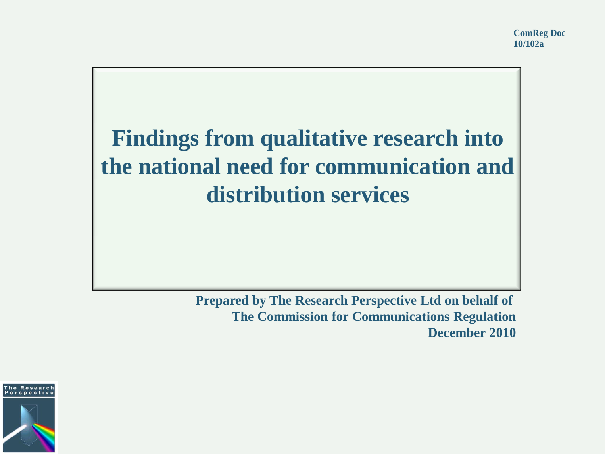## **Findings from qualitative research into the national need for communication and distribution services**

**Prepared by The Research Perspective Ltd on behalf of The Commission for Communications Regulation December 2010**

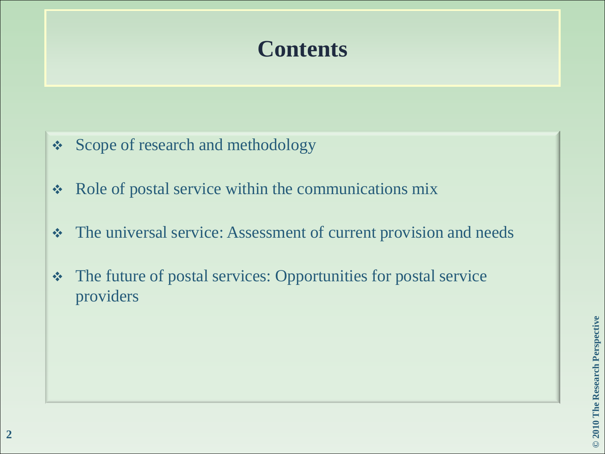#### **Contents**

- **❖** Scope of research and methodology
- Role of postal service within the communications mix
- The universal service: Assessment of current provision and needs
- The future of postal services: Opportunities for postal service providers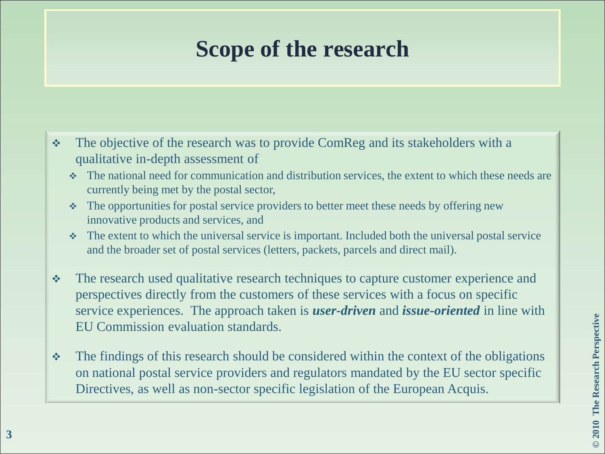#### **Scope of the research**

- $\cdot \cdot$  The objective of the research was to provide ComReg and its stakeholders with a qualitative in-depth assessment of
	- The national need for communication and distribution services, the extent to which these needs are currently being met by the postal sector,
	- The opportunities for postal service providers to better meet these needs by offering new innovative products and services, and
	- $\cdot$  The extent to which the universal service is important. Included both the universal postal service and the broader set of postal services (letters, packets, parcels and direct mail).
- \* The research used qualitative research techniques to capture customer experience and perspectives directly from the customers of these services with a focus on specific service experiences. The approach taken is *user-driven* and *issue-oriented* in line with EU Commission evaluation standards.
- $\cdot$  The findings of this research should be considered within the context of the obligations on national postal service providers and regulators mandated by the EU sector specific Directives, as well as non-sector specific legislation of the European Acquis.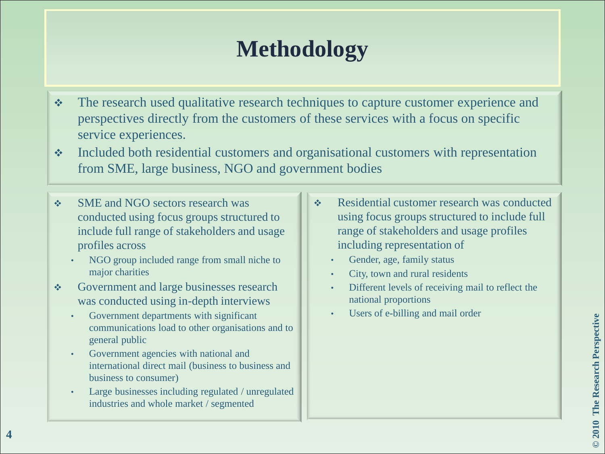#### **Methodology**

- The research used qualitative research techniques to capture customer experience and perspectives directly from the customers of these services with a focus on specific service experiences.
- Included both residential customers and organisational customers with representation from SME, large business, NGO and government bodies
- ◆ SME and NGO sectors research was conducted using focus groups structured to include full range of stakeholders and usage profiles across
	- NGO group included range from small niche to major charities
- Government and large businesses research was conducted using in-depth interviews
	- Government departments with significant communications load to other organisations and to general public
	- Government agencies with national and international direct mail (business to business and business to consumer)
	- Large businesses including regulated / unregulated industries and whole market / segmented
- **❖** Residential customer research was conducted using focus groups structured to include full range of stakeholders and usage profiles including representation of
	- Gender, age, family status
	- City, town and rural residents
	- Different levels of receiving mail to reflect the national proportions
	- Users of e-billing and mail order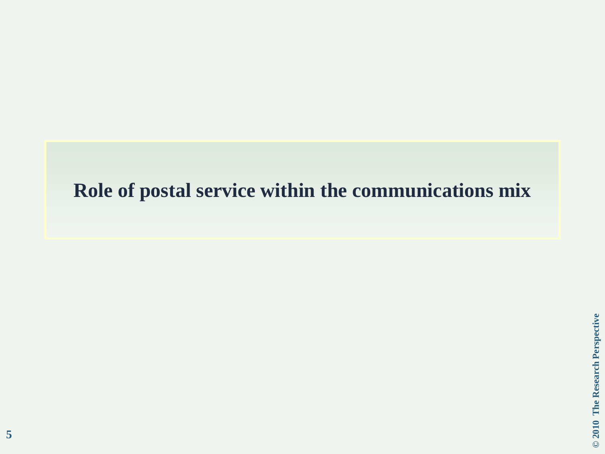#### **Role of postal service within the communications mix**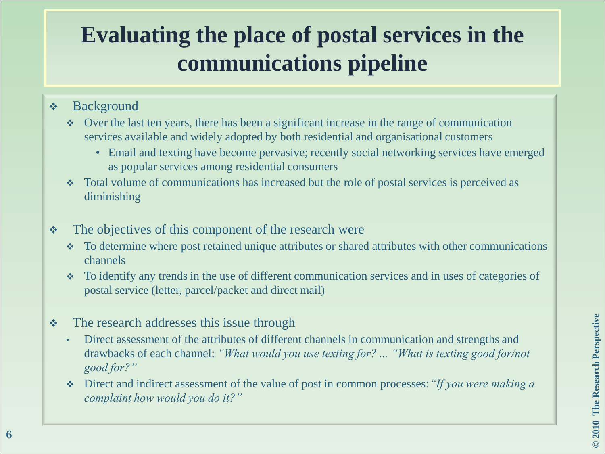# **Evaluating the place of postal services in the communications pipeline**

#### Background

- Over the last ten years, there has been a significant increase in the range of communication services available and widely adopted by both residential and organisational customers
	- Email and texting have become pervasive; recently social networking services have emerged as popular services among residential consumers
- Total volume of communications has increased but the role of postal services is perceived as diminishing
- The objectives of this component of the research were
	- To determine where post retained unique attributes or shared attributes with other communications channels
	- To identify any trends in the use of different communication services and in uses of categories of postal service (letter, parcel/packet and direct mail)
- The research addresses this issue through
	- Direct assessment of the attributes of different channels in communication and strengths and drawbacks of each channel: *"What would you use texting for? ... "What is texting good for/not good for?"*
	- Direct and indirect assessment of the value of post in common processes:*"If you were making a complaint how would you do it?"*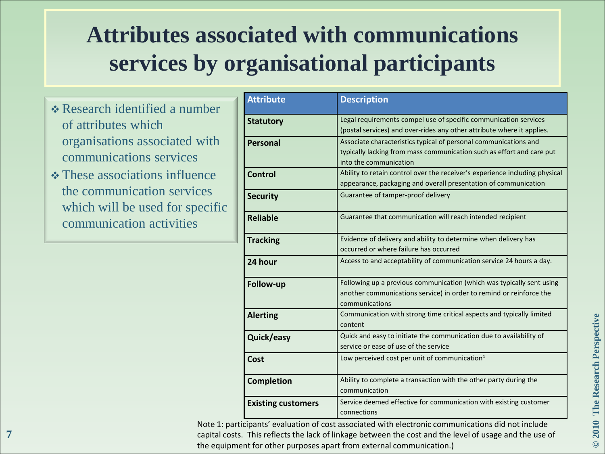# **Attributes associated with communications services by organisational participants**

- Research identified a number of attributes which organisations associated with communications services
- **❖ These associations influence** the communication services which will be used for specific communication activities

| <b>Attribute</b>          | <b>Description</b>                                                                 |
|---------------------------|------------------------------------------------------------------------------------|
| <b>Statutory</b>          | Legal requirements compel use of specific communication services                   |
|                           | (postal services) and over-rides any other attribute where it applies.             |
| <b>Personal</b>           | Associate characteristics typical of personal communications and                   |
|                           | typically lacking from mass communication such as effort and care put              |
|                           | into the communication                                                             |
| Control                   | Ability to retain control over the receiver's experience including physical        |
|                           | appearance, packaging and overall presentation of communication                    |
| <b>Security</b>           | Guarantee of tamper-proof delivery                                                 |
| <b>Reliable</b>           | Guarantee that communication will reach intended recipient                         |
| <b>Tracking</b>           | Evidence of delivery and ability to determine when delivery has                    |
|                           | occurred or where failure has occurred                                             |
| 24 hour                   | Access to and acceptability of communication service 24 hours a day.               |
| Follow-up                 | Following up a previous communication (which was typically sent using              |
|                           | another communications service) in order to remind or reinforce the                |
|                           | communications                                                                     |
| <b>Alerting</b>           | Communication with strong time critical aspects and typically limited              |
|                           | content                                                                            |
| Quick/easy                | Quick and easy to initiate the communication due to availability of                |
|                           | service or ease of use of the service                                              |
| Cost                      | Low perceived cost per unit of communication $1$                                   |
| <b>Completion</b>         | Ability to complete a transaction with the other party during the<br>communication |
|                           |                                                                                    |
| <b>Existing customers</b> | Service deemed effective for communication with existing customer                  |
|                           | connections                                                                        |

Note 1: participants' evaluation of cost associated with electronic communications did not include capital costs. This reflects the lack of linkage between the cost and the level of usage and the use of the equipment for other purposes apart from external communication.)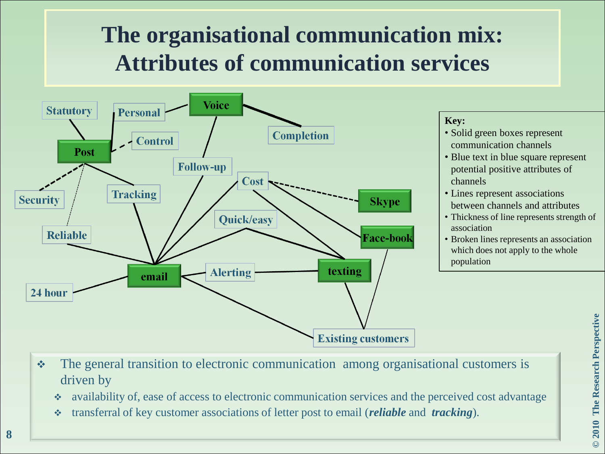# **The organisational communication mix: Attributes of communication services**



#### **Key:**

- Solid green boxes represent communication channels
- Blue text in blue square represent potential positive attributes of channels
- Lines represent associations between channels and attributes
- Thickness of line represents strength of association
- Broken lines represents an association which does not apply to the whole population

- The general transition to electronic communication among organisational customers is driven by
	- availability of, ease of access to electronic communication services and the perceived cost advantage
	- transferral of key customer associations of letter post to email (*reliable* and *tracking*).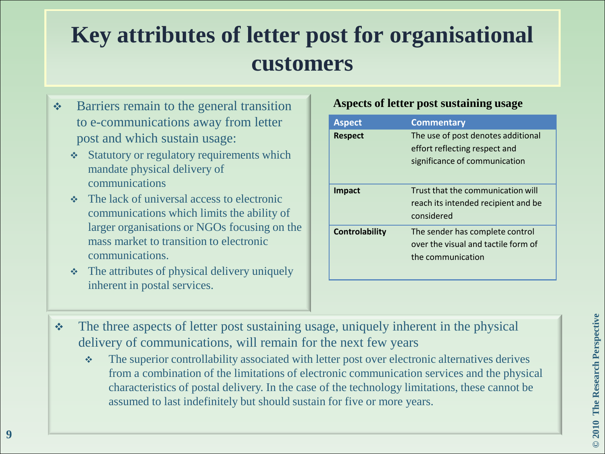#### **Key attributes of letter post for organisational customers**

- **❖** Barriers remain to the general transition to e-communications away from letter post and which sustain usage:
	- **❖** Statutory or regulatory requirements which mandate physical delivery of communications
	- $\div$  The lack of universal access to electronic communications which limits the ability of larger organisations or NGOs focusing on the mass market to transition to electronic communications.
	- $\triangle$  The attributes of physical delivery uniquely inherent in postal services.

#### **Aspects of letter post sustaining usage**

| <b>Aspect</b>  | <b>Commentary</b>                                                                                    |
|----------------|------------------------------------------------------------------------------------------------------|
| <b>Respect</b> | The use of post denotes additional<br>effort reflecting respect and<br>significance of communication |
| Impact         | Trust that the communication will<br>reach its intended recipient and be<br>considered               |
| Controlability | The sender has complete control<br>over the visual and tactile form of<br>the communication          |

- \* The three aspects of letter post sustaining usage, uniquely inherent in the physical delivery of communications, will remain for the next few years
	- The superior controllability associated with letter post over electronic alternatives derives from a combination of the limitations of electronic communication services and the physical characteristics of postal delivery. In the case of the technology limitations, these cannot be assumed to last indefinitely but should sustain for five or more years.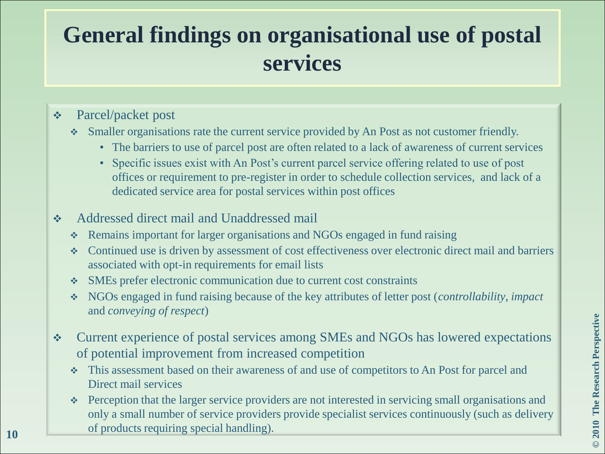## **General findings on organisational use of postal services**

#### Parcel/packet post

- Smaller organisations rate the current service provided by An Post as not customer friendly.
	- The barriers to use of parcel post are often related to a lack of awareness of current services
	- Specific issues exist with An Post's current parcel service offering related to use of post offices or requirement to pre-register in order to schedule collection services, and lack of a dedicated service area for postal services within post offices
- **↑** Addressed direct mail and Unaddressed mail
	- Remains important for larger organisations and NGOs engaged in fund raising
	- Continued use is driven by assessment of cost effectiveness over electronic direct mail and barriers associated with opt-in requirements for email lists
	- SMEs prefer electronic communication due to current cost constraints
	- NGOs engaged in fund raising because of the key attributes of letter post (*controllability*, *impact* and *conveying of respect*)
- Current experience of postal services among SMEs and NGOs has lowered expectations of potential improvement from increased competition
	- This assessment based on their awareness of and use of competitors to An Post for parcel and Direct mail services
- Perception that the larger service providers are not interested in servicing small organisations and only a small number of service providers provide specialist services continuously (such as delivery of products requiring special handling). **<sup>10</sup>**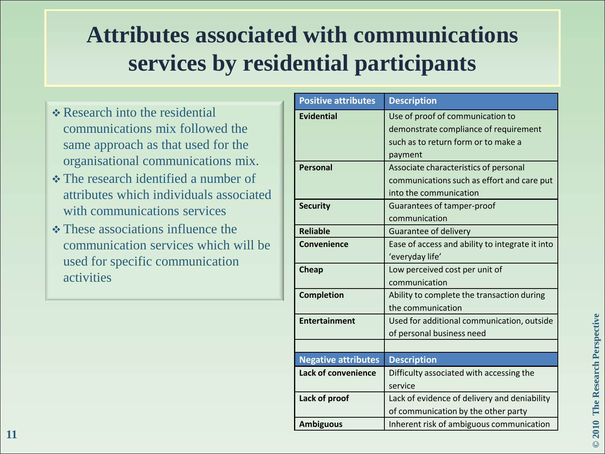# **Attributes associated with communications services by residential participants**

- \* Research into the residential communications mix followed the same approach as that used for the organisational communications mix.
- **❖** The research identified a number of attributes which individuals associated with communications services
- These associations influence the communication services which will be used for specific communication activities

| <b>Positive attributes</b> | <b>Description</b>                              |
|----------------------------|-------------------------------------------------|
| <b>Evidential</b>          | Use of proof of communication to                |
|                            | demonstrate compliance of requirement           |
|                            | such as to return form or to make a             |
|                            | payment                                         |
| <b>Personal</b>            | Associate characteristics of personal           |
|                            | communications such as effort and care put      |
|                            | into the communication                          |
| <b>Security</b>            | <b>Guarantees of tamper-proof</b>               |
|                            | communication                                   |
| <b>Reliable</b>            | Guarantee of delivery                           |
| Convenience                | Ease of access and ability to integrate it into |
|                            | 'everyday life'                                 |
| <b>Cheap</b>               | Low perceived cost per unit of                  |
|                            | communication                                   |
| <b>Completion</b>          | Ability to complete the transaction during      |
|                            | the communication                               |
| <b>Entertainment</b>       | Used for additional communication, outside      |
|                            | of personal business need                       |
|                            |                                                 |
| <b>Negative attributes</b> | <b>Description</b>                              |
| <b>Lack of convenience</b> | Difficulty associated with accessing the        |
|                            | service                                         |
| Lack of proof              | Lack of evidence of delivery and deniability    |
|                            | of communication by the other party             |
| <b>Ambiguous</b>           | Inherent risk of ambiguous communication        |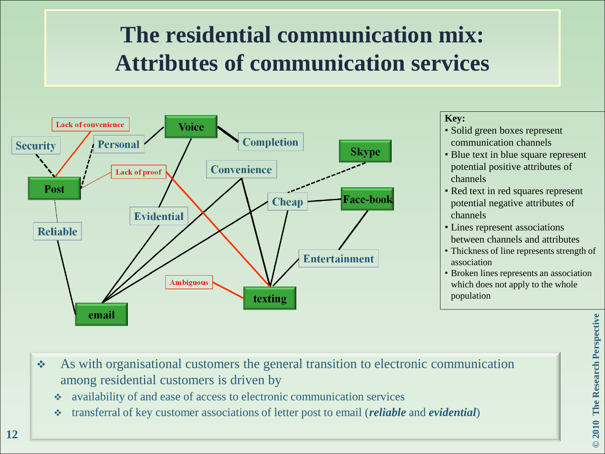# **The residential communication mix: Attributes of communication services**



#### **Key:**

- Solid green boxes represent communication channels
- Blue text in blue square represent potential positive attributes of channels
- Red text in red squares represent potential negative attributes of channels
- Lines represent associations between channels and attributes
- Thickness of line represents strength of association
- Broken lines represents an association which does not apply to the whole population

- As with organisational customers the general transition to electronic communication among residential customers is driven by
	- availability of and ease of access to electronic communication services
	- transferral of key customer associations of letter post to email (*reliable* and *evidential*)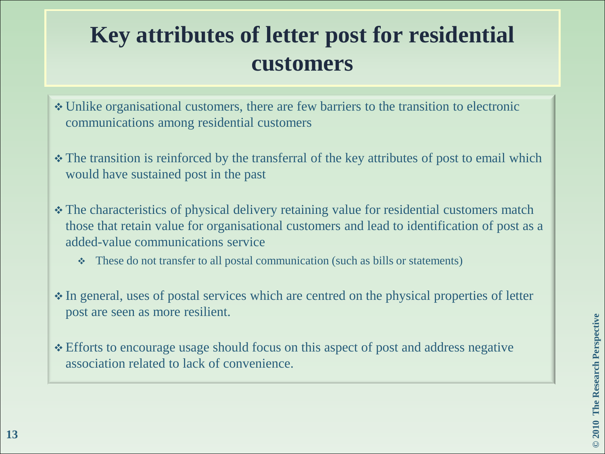#### **Key attributes of letter post for residential customers**

- Unlike organisational customers, there are few barriers to the transition to electronic communications among residential customers
- The transition is reinforced by the transferral of the key attributes of post to email which would have sustained post in the past
- The characteristics of physical delivery retaining value for residential customers match those that retain value for organisational customers and lead to identification of post as a added-value communications service
	- These do not transfer to all postal communication (such as bills or statements)
- In general, uses of postal services which are centred on the physical properties of letter post are seen as more resilient.
- Efforts to encourage usage should focus on this aspect of post and address negative association related to lack of convenience.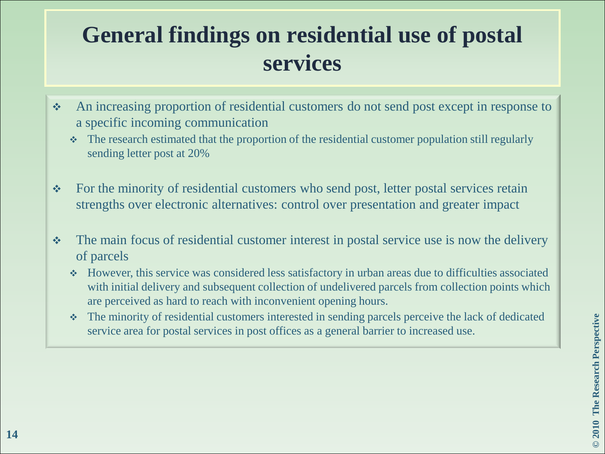# **General findings on residential use of postal services**

- An increasing proportion of residential customers do not send post except in response to a specific incoming communication
	- The research estimated that the proportion of the residential customer population still regularly sending letter post at 20%
- For the minority of residential customers who send post, letter postal services retain strengths over electronic alternatives: control over presentation and greater impact
- $\cdot \cdot$  The main focus of residential customer interest in postal service use is now the delivery of parcels
	- However, this service was considered less satisfactory in urban areas due to difficulties associated with initial delivery and subsequent collection of undelivered parcels from collection points which are perceived as hard to reach with inconvenient opening hours.
	- The minority of residential customers interested in sending parcels perceive the lack of dedicated service area for postal services in post offices as a general barrier to increased use.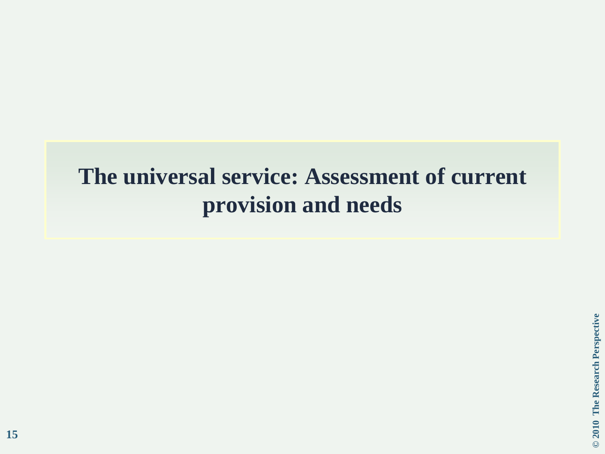#### **The universal service: Assessment of current provision and needs**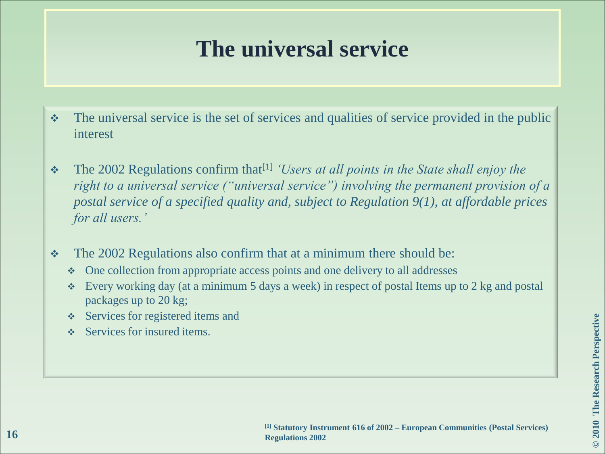#### **The universal service**

- $\cdot$  The universal service is the set of services and qualities of service provided in the public interest
- \* The 2002 Regulations confirm that<sup>[1]</sup> *'Users at all points in the State shall enjoy the right to a universal service ("universal service") involving the permanent provision of a postal service of a specified quality and, subject to Regulation 9(1), at affordable prices for all users."*
- The 2002 Regulations also confirm that at a minimum there should be:
	- One collection from appropriate access points and one delivery to all addresses
	- Every working day (at a minimum 5 days a week) in respect of postal Items up to 2 kg and postal packages up to 20 kg;
	- ❖ Services for registered items and
	- $\triangle$  Services for insured items.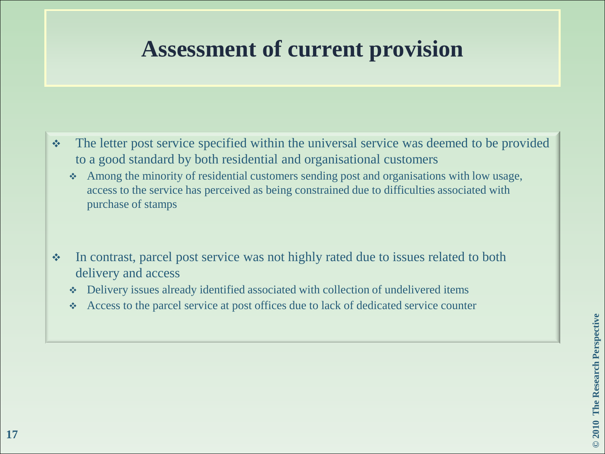#### **Assessment of current provision**

- The letter post service specified within the universal service was deemed to be provided to a good standard by both residential and organisational customers
	- Among the minority of residential customers sending post and organisations with low usage, access to the service has perceived as being constrained due to difficulties associated with purchase of stamps
- In contrast, parcel post service was not highly rated due to issues related to both delivery and access
	- Delivery issues already identified associated with collection of undelivered items
	- Access to the parcel service at post offices due to lack of dedicated service counter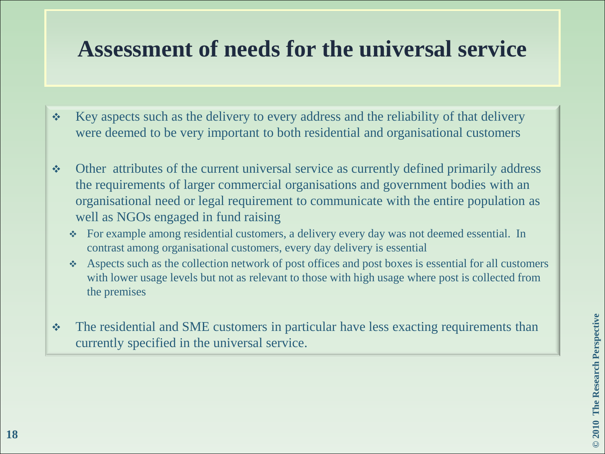#### **Assessment of needs for the universal service**

- $\div$  Key aspects such as the delivery to every address and the reliability of that delivery were deemed to be very important to both residential and organisational customers
- Other attributes of the current universal service as currently defined primarily address the requirements of larger commercial organisations and government bodies with an organisational need or legal requirement to communicate with the entire population as well as NGOs engaged in fund raising
	- For example among residential customers, a delivery every day was not deemed essential. In contrast among organisational customers, every day delivery is essential
	- Aspects such as the collection network of post offices and post boxes is essential for all customers with lower usage levels but not as relevant to those with high usage where post is collected from the premises
- The residential and SME customers in particular have less exacting requirements than currently specified in the universal service.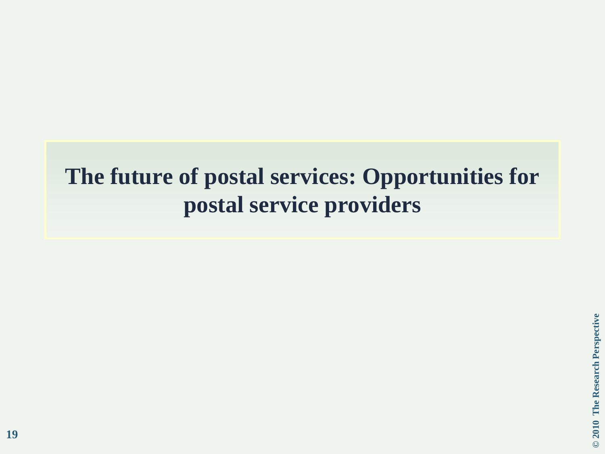#### **The future of postal services: Opportunities for postal service providers**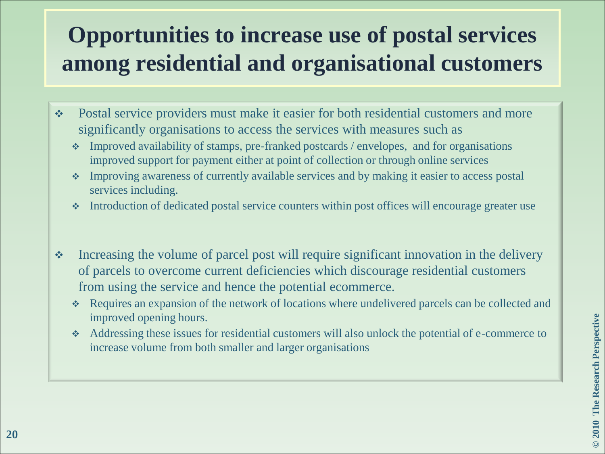# **Opportunities to increase use of postal services among residential and organisational customers**

- Postal service providers must make it easier for both residential customers and more significantly organisations to access the services with measures such as
	- Improved availability of stamps, pre-franked postcards / envelopes, and for organisations improved support for payment either at point of collection or through online services
	- Improving awareness of currently available services and by making it easier to access postal services including.
	- Introduction of dedicated postal service counters within post offices will encourage greater use
- $\cdot$  Increasing the volume of parcel post will require significant innovation in the delivery of parcels to overcome current deficiencies which discourage residential customers from using the service and hence the potential ecommerce.
	- Requires an expansion of the network of locations where undelivered parcels can be collected and improved opening hours.
	- Addressing these issues for residential customers will also unlock the potential of e-commerce to increase volume from both smaller and larger organisations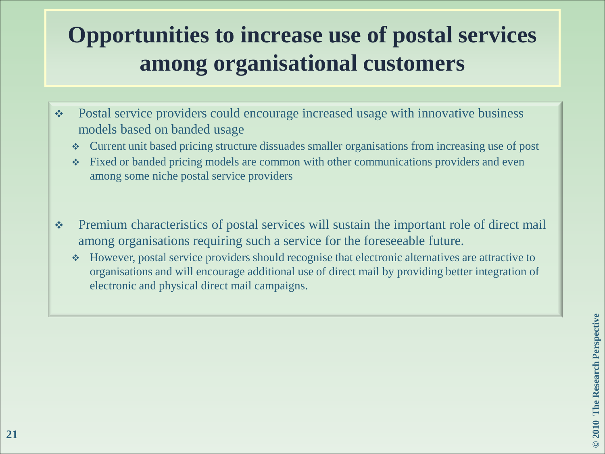# **Opportunities to increase use of postal services among organisational customers**

- Postal service providers could encourage increased usage with innovative business models based on banded usage
	- Current unit based pricing structure dissuades smaller organisations from increasing use of post
	- Fixed or banded pricing models are common with other communications providers and even among some niche postal service providers
- Premium characteristics of postal services will sustain the important role of direct mail among organisations requiring such a service for the foreseeable future.
	- However, postal service providers should recognise that electronic alternatives are attractive to organisations and will encourage additional use of direct mail by providing better integration of electronic and physical direct mail campaigns.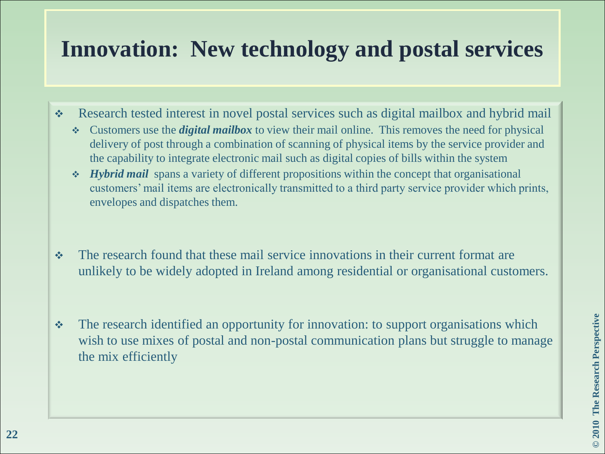#### **Innovation: New technology and postal services**

- \* Research tested interest in novel postal services such as digital mailbox and hybrid mail
	- Customers use the *digital mailbox* to view their mail online. This removes the need for physical delivery of post through a combination of scanning of physical items by the service provider and the capability to integrate electronic mail such as digital copies of bills within the system
	- *Hybrid mail* spans a variety of different propositions within the concept that organisational customers' mail items are electronically transmitted to a third party service provider which prints, envelopes and dispatches them.
- The research found that these mail service innovations in their current format are unlikely to be widely adopted in Ireland among residential or organisational customers.
- \* The research identified an opportunity for innovation: to support organisations which wish to use mixes of postal and non-postal communication plans but struggle to manage the mix efficiently